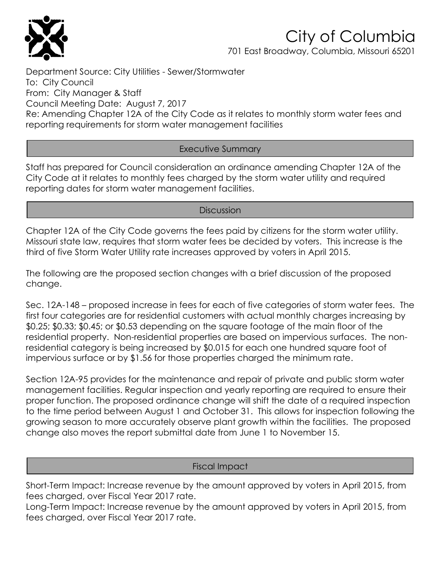

# City of Columbia

701 East Broadway, Columbia, Missouri 65201

Department Source: City Utilities - Sewer/Stormwater To: City Council From: City Manager & Staff Council Meeting Date: August 7, 2017 Re: Amending Chapter 12A of the City Code as it relates to monthly storm water fees and reporting requirements for storm water management facilities

## Executive Summary

Staff has prepared for Council consideration an ordinance amending Chapter 12A of the City Code at it relates to monthly fees charged by the storm water utility and required reporting dates for storm water management facilities.

## **Discussion**

Chapter 12A of the City Code governs the fees paid by citizens for the storm water utility. Missouri state law, requires that storm water fees be decided by voters. This increase is the third of five Storm Water Utility rate increases approved by voters in April 2015.

The following are the proposed section changes with a brief discussion of the proposed change.

Sec. 12A-148 – proposed increase in fees for each of five categories of storm water fees. The first four categories are for residential customers with actual monthly charges increasing by \$0.25; \$0.33; \$0.45; or \$0.53 depending on the square footage of the main floor of the residential property. Non-residential properties are based on impervious surfaces. The nonresidential category is being increased by \$0.015 for each one hundred square foot of impervious surface or by \$1.56 for those properties charged the minimum rate.

Section 12A-95 provides for the maintenance and repair of private and public storm water management facilities. Regular inspection and yearly reporting are required to ensure their proper function. The proposed ordinance change will shift the date of a required inspection to the time period between August 1 and October 31. This allows for inspection following the growing season to more accurately observe plant growth within the facilities. The proposed change also moves the report submittal date from June 1 to November 15.

## Fiscal Impact

Short-Term Impact: Increase revenue by the amount approved by voters in April 2015, from fees charged, over Fiscal Year 2017 rate.

Long-Term Impact: Increase revenue by the amount approved by voters in April 2015, from fees charged, over Fiscal Year 2017 rate.